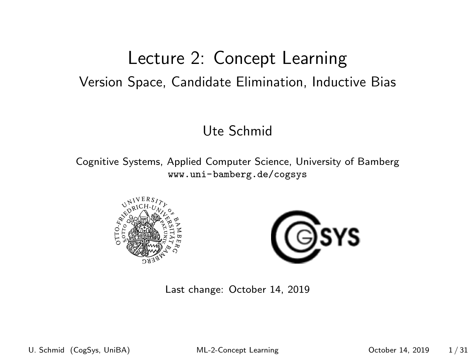### <span id="page-0-0"></span>Lecture 2: Concept Learning Version Space, Candidate Elimination, Inductive Bias

#### Ute Schmid

Cognitive Systems, Applied Computer Science, University of Bamberg <www.uni-bamberg.de/cogsys>





Last change: October 14, 2019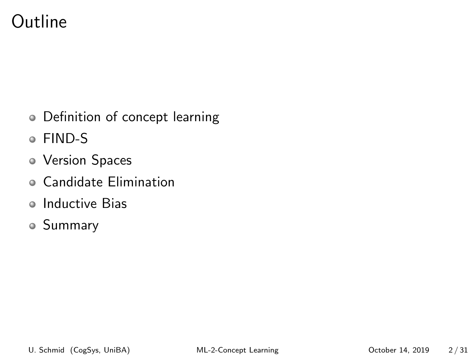### Outline

- Definition of concept learning
- FIND-S
- Version Spaces
- Candidate Elimination
- Inductive Bias
- Summary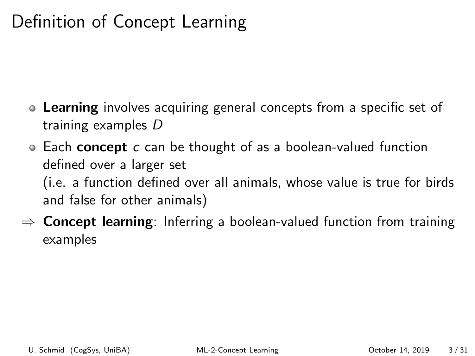# Definition of Concept Learning

- **Learning** involves acquiring general concepts from a specific set of training examples D
- $\bullet$  Each concept c can be thought of as a boolean-valued function defined over a larger set (i.e. a function defined over all animals, whose value is true for birds and false for other animals)
- $\Rightarrow$  Concept learning: Inferring a boolean-valued function from training examples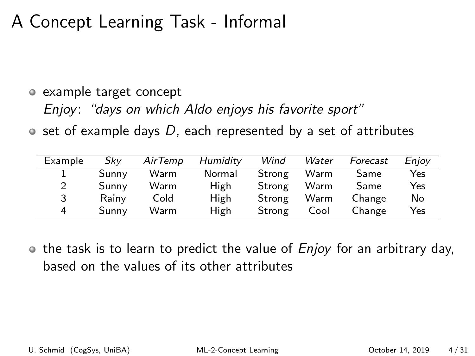## A Concept Learning Task - Informal

### example target concept Enjoy: "days on which Aldo enjoys his favorite sport"

 $\bullet$  set of example days D, each represented by a set of attributes

| Example | Skv   | AirTemp | Humidity | Wind   | Water | Forecast | Enjoy |
|---------|-------|---------|----------|--------|-------|----------|-------|
|         | Sunny | Warm    | Normal   | Strong | Warm  | Same     | Yes   |
| 2       | Sunny | Warm    | High     | Strong | Warm  | Same     | Yes   |
| 3       | Rainy | Cold    | High     | Strong | Warm  | Change   | No    |
| 4       | Sunny | Warm    | High     | Strong | Cool  | Change   | Yes   |

 $\bullet$  the task is to learn to predict the value of  $Enjoy$  for an arbitrary day, based on the values of its other attributes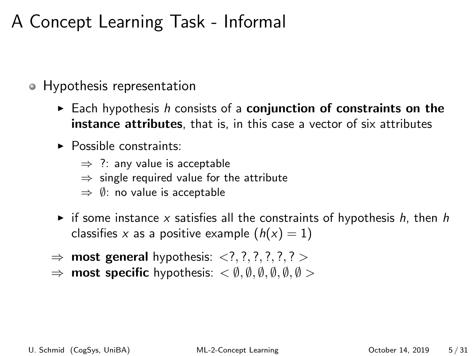# A Concept Learning Task - Informal

- Hypothesis representation
	- Each hypothesis h consists of a **conjunction of constraints on the** instance attributes, that is, in this case a vector of six attributes
	- $\triangleright$  Possible constraints:
		- $\Rightarrow$  ?: any value is acceptable
		- $\Rightarrow$  single required value for the attribute
		- $\Rightarrow$   $\emptyset$ : no value is acceptable
	- if some instance x satisfies all the constraints of hypothesis h, then h classifies x as a positive example  $(h(x) = 1)$
	- $\Rightarrow$  most general hypothesis:  $\langle ? , ? , ? , ? , ? \rangle$
	- $\Rightarrow$  most specific hypothesis:  $\lt \emptyset$ ,  $\emptyset$ ,  $\emptyset$ ,  $\emptyset$ ,  $\emptyset$ ,  $\emptyset$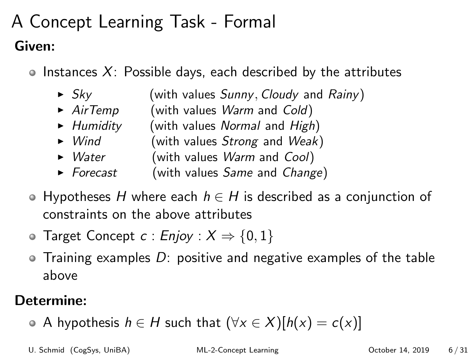# A Concept Learning Task - Formal Given:

 $\circ$  Instances X: Possible days, each described by the attributes

- $\triangleright$  Sky (with values Sunny, Cloudy and Rainy)
- $\triangleright$  AirTemp (with values Warm and Cold)
- $\blacktriangleright$  Humidity (with values Normal and High)
- $\triangleright$  Wind (with values Strong and Weak)
- $\triangleright$  *Water* (with values *Warm* and *Cool*)
- $\triangleright$  Forecast (with values Same and Change)
- $\bullet$  Hypotheses H where each  $h \in H$  is described as a conjunction of constraints on the above attributes
- **Target Concept c : Enjoy :**  $X \Rightarrow \{0, 1\}$
- $\bullet$  Training examples D: positive and negative examples of the table above

#### Determine:

A hypothesis  $h \in H$  such that  $(\forall x \in X)[h(x) = c(x)]$ 

U. Schmid (CogSys, UniBA) [ML-2-Concept Learning](#page-0-0) October 14, 2019 6 / 31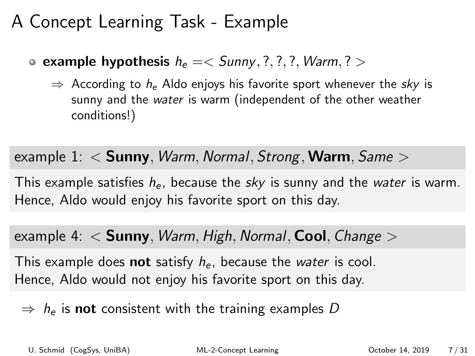### A Concept Learning Task - Example

**example hypothesis**  $h_e = \langle$  Sunny, ?, ?, ?, Warm, ? >

 $\Rightarrow$  According to  $h_e$  Aldo enjoys his favorite sport whenever the sky is sunny and the water is warm (independent of the other weather conditions!)

example 1:  $<$  Sunny, *Warm, Normal, Strong, Warm, Same*  $>$ 

This example satisfies  $h_{e}$ , because the sky is sunny and the water is warm. Hence, Aldo would enjoy his favorite sport on this day.

example 4:  $<$  Sunny, *Warm, High, Normal*, **Cool**, *Change*  $>$ 

This example does **not** satisfy  $h_{e}$ , because the *water* is cool. Hence, Aldo would not enjoy his favorite sport on this day.

 $\Rightarrow h_e$  is **not** consistent with the training examples D

U. Schmid (CogSys, UniBA) [ML-2-Concept Learning](#page-0-0) October 14, 2019 7 / 31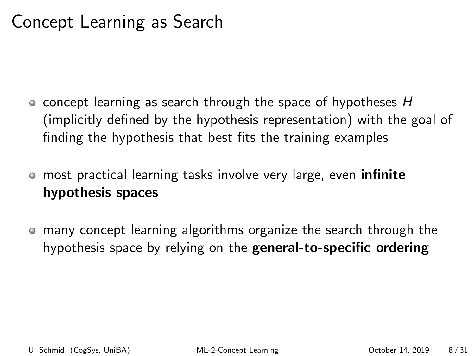## Concept Learning as Search

- $\bullet$  concept learning as search through the space of hypotheses H (implicitly defined by the hypothesis representation) with the goal of finding the hypothesis that best fits the training examples
- most practical learning tasks involve very large, even infinite hypothesis spaces
- many concept learning algorithms organize the search through the  $\bullet$ hypothesis space by relying on the **general-to-specific ordering**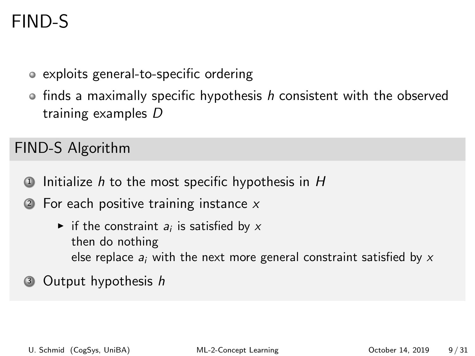# FIND-S

- exploits general-to-specific ordering
- $\circ$  finds a maximally specific hypothesis h consistent with the observed training examples D

FIND-S Algorithm

- $\Phi$  Initialize h to the most specific hypothesis in H
- $\bullet$  For each positive training instance x
	- if the constraint  $a_i$  is satisfied by  $x$ then do nothing else replace  $a_i$  with the next more general constraint satisfied by  $x$
- <sup>3</sup> Output hypothesis h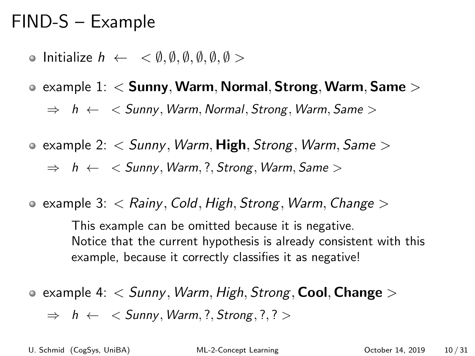# FIND-S – Example

- $\circ$  Initialize  $h \leftarrow \langle \emptyset, \emptyset, \emptyset, \emptyset, \emptyset, \emptyset \rangle$
- $\bullet$  example 1:  $\lt$  Sunny, Warm, Normal, Strong, Warm, Same  $>$

 $\Rightarrow$  h  $\leftarrow$  < Sunny, Warm, Normal, Strong, Warm, Same >

**e** example 2:  $\lt$  Sunny, Warm, High, Strong, Warm, Same  $\gt$ 

 $\Rightarrow$  h  $\leftarrow$  < Sunny, Warm, ?, Strong, Warm, Same >

**e** example 3:  $\lt$  Rainy, Cold, High, Strong, Warm, Change  $\gt$ 

This example can be omitted because it is negative. Notice that the current hypothesis is already consistent with this example, because it correctly classifies it as negative!

**e** example 4:  $\lt$  Sunny, Warm, High, Strong, Cool, Change  $\gt$ 

 $\Rightarrow$  h  $\leftarrow$  < Sunny, Warm, ?, Strong, ?, ? >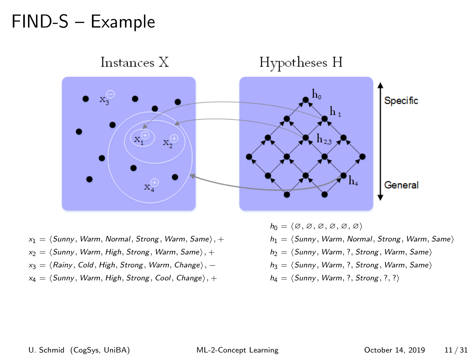# FIND-S – Example



- $x_1 = \langle$  Sunny, Warm, Normal, Strong, Warm, Same $\rangle$ , +
- $x_2 = \langle$  Sunny, Warm, High, Strong, Warm, Same $\rangle$ , +
- $x_3 = \langle$  Rainy, Cold, High, Strong, Warm, Change $\rangle$ , −
- $x_4 = \langle$  Sunny, Warm, High, Strong, Cool, Change $\rangle$ , +

 $h_0 = \langle \emptyset, \emptyset, \emptyset, \emptyset, \emptyset, \emptyset \rangle$  $h_1 = \langle$  Sunny, Warm, Normal, Strong, Warm, Same $\rangle$  $h_2 = \langle$  Sunny, Warm, ?, Strong, Warm, Same $\rangle$  $h_3 = \langle$  Sunny, Warm, ?, Strong, Warm, Same $\rangle$  $h_4 = \langle$  Sunny, Warm, ?, Strong, ?, ? $\rangle$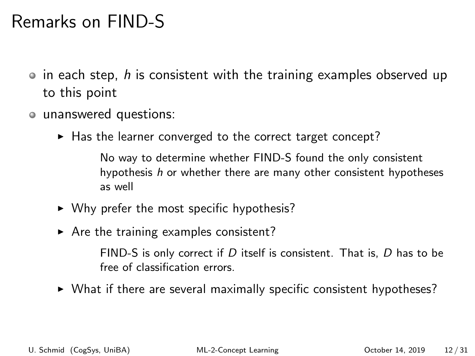# Remarks on FIND-S

- $\bullet$  in each step, h is consistent with the training examples observed up to this point
- unanswered questions:
	- $\blacktriangleright$  Has the learner converged to the correct target concept?

No way to determine whether FIND-S found the only consistent hypothesis h or whether there are many other consistent hypotheses as well

- $\triangleright$  Why prefer the most specific hypothesis?
- $\triangleright$  Are the training examples consistent?

FIND-S is only correct if D itself is consistent. That is, D has to be free of classification errors.

 $\triangleright$  What if there are several maximally specific consistent hypotheses?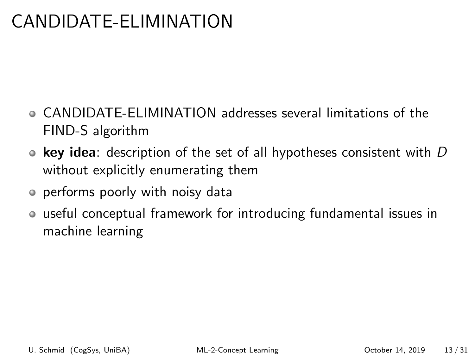# CANDIDATE-ELIMINATION

- CANDIDATE-ELIMINATION addresses several limitations of the FIND-S algorithm
- key idea: description of the set of all hypotheses consistent with  $D$ without explicitly enumerating them
- performs poorly with noisy data
- useful conceptual framework for introducing fundamental issues in machine learning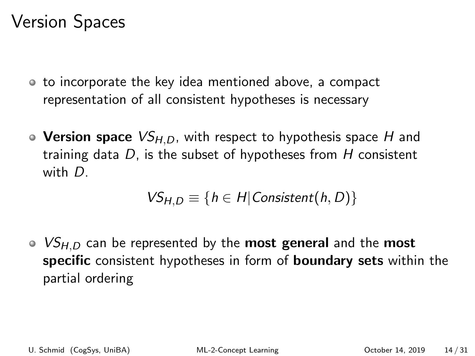# Version Spaces

- to incorporate the key idea mentioned above, a compact representation of all consistent hypotheses is necessary
- Version space  $VS_{H,D}$ , with respect to hypothesis space H and training data  $D$ , is the subset of hypotheses from  $H$  consistent with D.

$$
VS_{H,D} \equiv \{h \in H | \text{Consistent}(h,D)\}
$$

•  $VS_{H,D}$  can be represented by the **most general** and the **most** specific consistent hypotheses in form of **boundary sets** within the partial ordering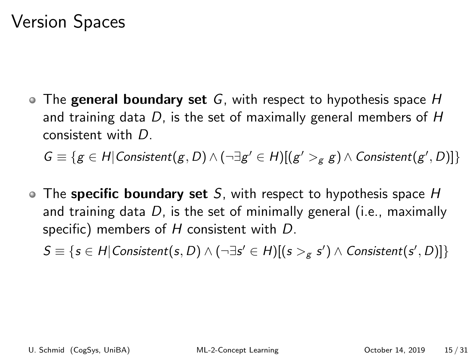### Version Spaces

 $\bullet$  The general boundary set G, with respect to hypothesis space H and training data  $D$ , is the set of maximally general members of  $H$ consistent with D.

 $G \equiv \{g \in H | \text{Consistent}(g,D) \land (\neg \exists g' \in H)[(g' >_{g} g) \land \text{Consistent}(g',D)]\}$ 

 $\bullet$  The specific boundary set S, with respect to hypothesis space H and training data  $D$ , is the set of minimally general (i.e., maximally specific) members of H consistent with D.

 $S \equiv \{s \in H | \textit{Consistent}(s, D) \land (\neg \exists s' \in H)[(s >_{g} s') \land \textit{Consistent}(s', D)]\}$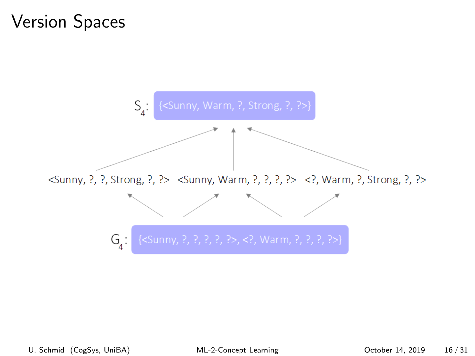# Version Spaces

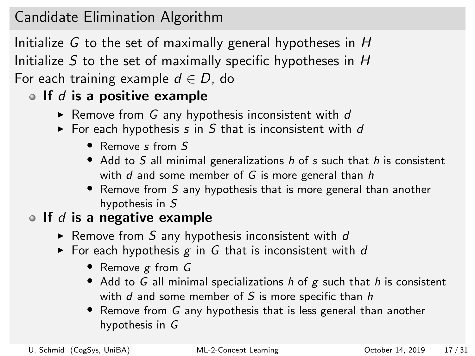### Candidate Elimination Algorithm

Initialize G to the set of maximally general hypotheses in H Initialize S to the set of maximally specific hypotheses in  $H$ For each training example  $d \in D$ , do

### If d is a positive example

- Remove from G any hypothesis inconsistent with  $d$
- $\triangleright$  For each hypothesis s in S that is inconsistent with d
	- Remove s from S
	- Add to S all minimal generalizations  $h$  of s such that  $h$  is consistent with  $d$  and some member of  $G$  is more general than  $h$
	- Remove from S any hypothesis that is more general than another hypothesis in S

#### If d is a negative example

- Remove from S any hypothesis inconsistent with  $d$
- For each hypothesis  $g$  in G that is inconsistent with d
	- Remove g from G
	- Add to G all minimal specializations  $h$  of  $g$  such that  $h$  is consistent with  $d$  and some member of  $S$  is more specific than  $h$
	- Remove from G any hypothesis that is less general than another hypothesis in G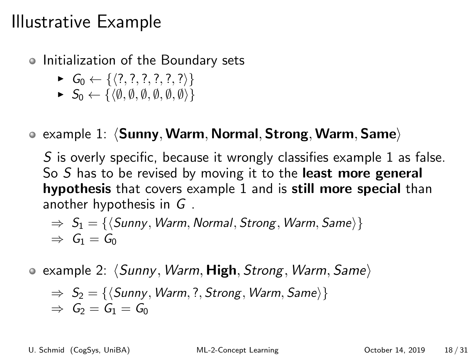- Initialization of the Boundary sets
	- $\triangleright$   $G_0 \leftarrow \{ \langle ?, ? , ? , ? , ? , ? \rangle \}$
	- $\blacktriangleright S_0 \leftarrow \{\langle \emptyset, \emptyset, \emptyset, \emptyset, \emptyset, \emptyset \rangle\}$
- $\bullet$  example 1:  $\langle$ Sunny, Warm, Normal, Strong, Warm, Same $\rangle$

S is overly specific, because it wrongly classifies example 1 as false. So S has to be revised by moving it to the least more general hypothesis that covers example 1 and is still more special than another hypothesis in G .

$$
\Rightarrow S_1 = \{ \langle \text{Sunny}, \text{Warm}, \text{Normal}, \text{Strong}, \text{Warm}, \text{Same} \rangle \}
$$
  

$$
\Rightarrow G_1 = G_0
$$

**e** example 2:  $\langle$  Sunny, Warm, High, Strong, Warm, Same $\rangle$ 

$$
\Rightarrow S_2 = \{ \langle \text{Sunny}, \text{Warm}, ?, \text{Strong}, \text{Warm}, \text{Same} \rangle \}
$$
  

$$
\Rightarrow G_2 = G_1 = G_0
$$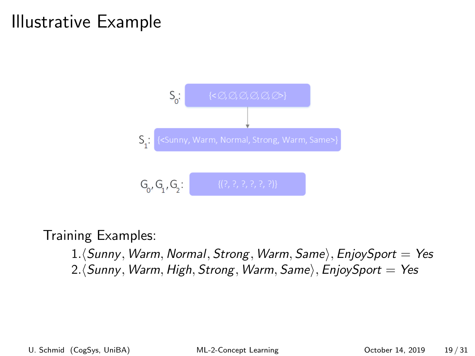

Training Examples:

 $1.\langle$  Sunny, Warm, Normal, Strong, Warm, Same), EnjoySport = Yes 2. (Sunny, Warm, High, Strong, Warm, Same), EnjoySport = Yes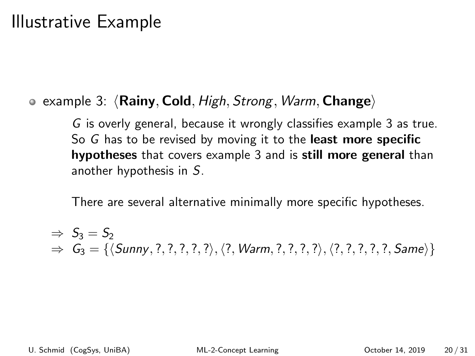#### • example 3:  $\langle$  Rainy, Cold, High, Strong, Warm, Change)

G is overly general, because it wrongly classifies example 3 as true. So G has to be revised by moving it to the least more specific hypotheses that covers example 3 and is still more general than another hypothesis in S.

There are several alternative minimally more specific hypotheses.

$$
\Rightarrow S_3 = S_2
$$
  
\n
$$
\Rightarrow G_3 = \{ \langle \mathit{Sunny}, ?, ?, ?, ? \rangle, \langle ?, \mathit{Warm}, ?, ?, ? \rangle, \langle ?, ?, ?, ?, ?, \mathit{Same} \rangle \}
$$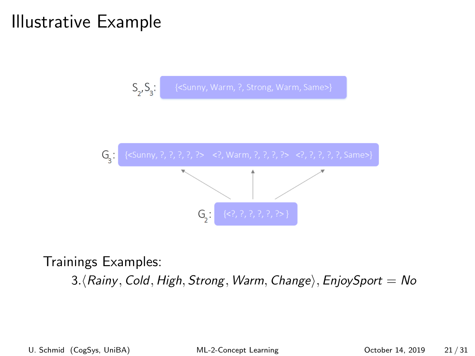



Trainings Examples:

3. (Rainy, Cold, High, Strong, Warm, Change), EnjoySport = No

U. Schmid (CogSys, UniBA) [ML-2-Concept Learning](#page-0-0) October 14, 2019 21 / 31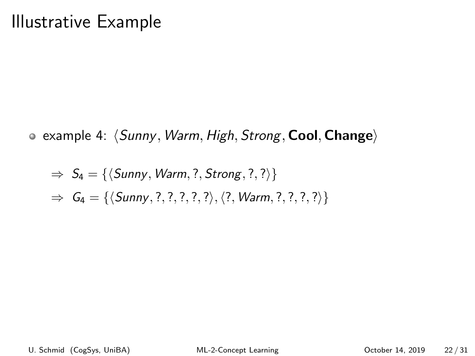• example 4:  $\langle$  Sunny, Warm, High, Strong, Cool, Change)

$$
\Rightarrow S_4 = \{ \langle \mathit{Sunny}, \mathit{Warm}, ?, \mathit{Strong}, ?, ? \rangle \}
$$

$$
\Rightarrow G_4 = \{ \langle \mathit{Sunny}, ?, ?, ?, ? \rangle, \langle ?, \mathit{Warm}, ?, ?, ?, ? \rangle \}
$$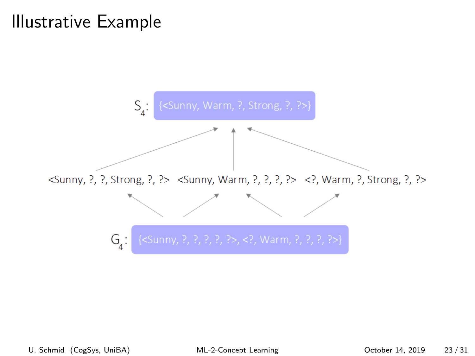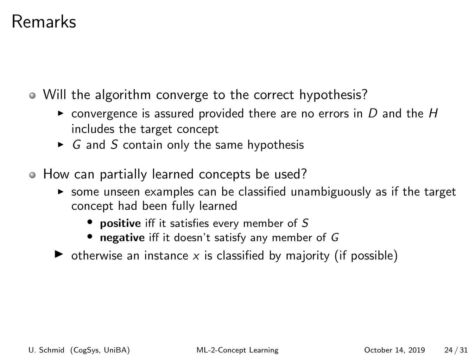### Remarks

- Will the algorithm converge to the correct hypothesis?
	- $\triangleright$  convergence is assured provided there are no errors in D and the H includes the target concept
	- $\triangleright$  G and S contain only the same hypothesis
- How can partially learned concepts be used?
	- $\triangleright$  some unseen examples can be classified unambiguously as if the target concept had been fully learned
		- positive iff it satisfies every member of S
		- negative iff it doesn't satisfy any member of G
	- $\triangleright$  otherwise an instance x is classified by majority (if possible)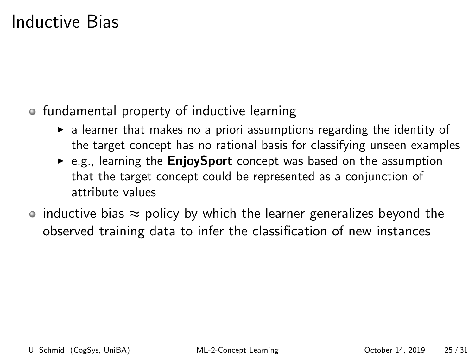### Inductive Bias

- fundamental property of inductive learning
	- $\triangleright$  a learner that makes no a priori assumptions regarding the identity of the target concept has no rational basis for classifying unseen examples
	- $\triangleright$  e.g., learning the **EnjoySport** concept was based on the assumption that the target concept could be represented as a conjunction of attribute values
- inductive bias  $\approx$  policy by which the learner generalizes beyond the observed training data to infer the classification of new instances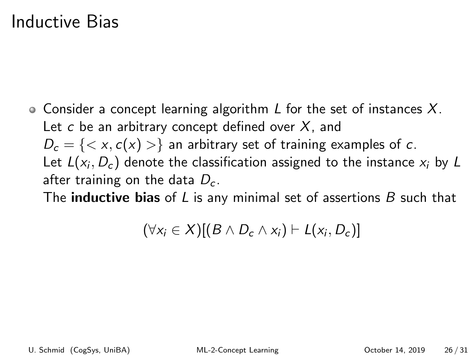### Inductive Bias

 $\bullet$  Consider a concept learning algorithm L for the set of instances X. Let  $c$  be an arbitrary concept defined over  $X$ , and  $D_c = \{ \langle x, c(x) \rangle \}$  an arbitrary set of training examples of c. Let  $L(x_i, D_c)$  denote the classification assigned to the instance  $x_i$  by  $L$ after training on the data  $D<sub>c</sub>$ .

The **inductive bias** of L is any minimal set of assertions  $B$  such that

$$
(\forall x_i \in X)[(B \wedge D_c \wedge x_i) \vdash L(x_i, D_c)]
$$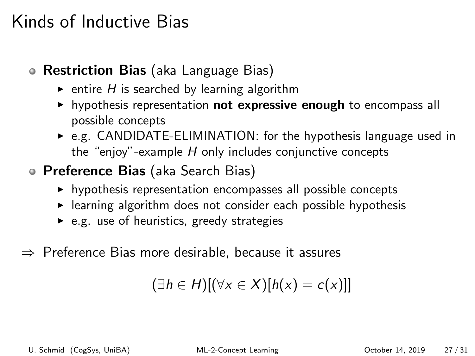### Kinds of Inductive Bias

- Restriction Bias (aka Language Bias)
	- $\triangleright$  entire H is searched by learning algorithm
	- $\triangleright$  hypothesis representation not expressive enough to encompass all possible concepts
	- $\triangleright$  e.g. CANDIDATE-ELIMINATION: for the hypothesis language used in the "enjoy"-example  $H$  only includes conjunctive concepts
- **Preference Bias** (aka Search Bias)
	- $\triangleright$  hypothesis representation encompasses all possible concepts
	- $\blacktriangleright$  learning algorithm does not consider each possible hypothesis
	- $\triangleright$  e.g. use of heuristics, greedy strategies
- $\Rightarrow$  Preference Bias more desirable, because it assures

$$
(\exists h \in H)[(\forall x \in X)[h(x) = c(x)]]
$$

U. Schmid (CogSys, UniBA) [ML-2-Concept Learning](#page-0-0) October 14, 2019 27 / 31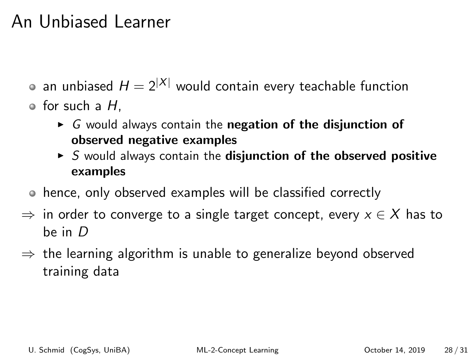### An Unbiased Learner

- an unbiased  $H = 2^{|X|}$  would contain every teachable function
- $\bullet$  for such a H.
	- $\triangleright$  G would always contain the negation of the disjunction of observed negative examples
	- $\triangleright$  S would always contain the disjunction of the observed positive examples
- hence, only observed examples will be classified correctly
- $\Rightarrow$  in order to converge to a single target concept, every  $x \in X$  has to be in D
- $\Rightarrow$  the learning algorithm is unable to generalize beyond observed training data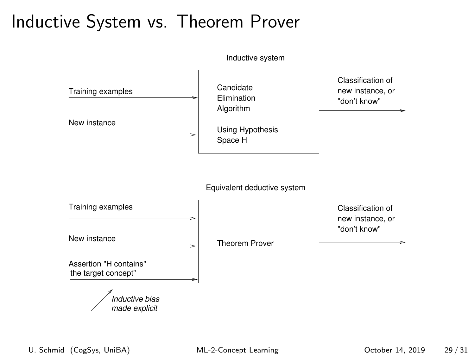## Inductive System vs. Theorem Prover

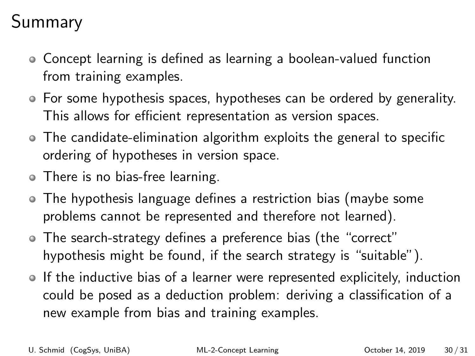# Summary

- Concept learning is defined as learning a boolean-valued function from training examples.
- For some hypothesis spaces, hypotheses can be ordered by generality. This allows for efficient representation as version spaces.
- The candidate-elimination algorithm exploits the general to specific ordering of hypotheses in version space.
- There is no bias-free learning.
- The hypothesis language defines a restriction bias (maybe some problems cannot be represented and therefore not learned).
- The search-strategy defines a preference bias (the "correct" hypothesis might be found, if the search strategy is "suitable").
- If the inductive bias of a learner were represented explicitely, induction could be posed as a deduction problem: deriving a classification of a new example from bias and training examples.